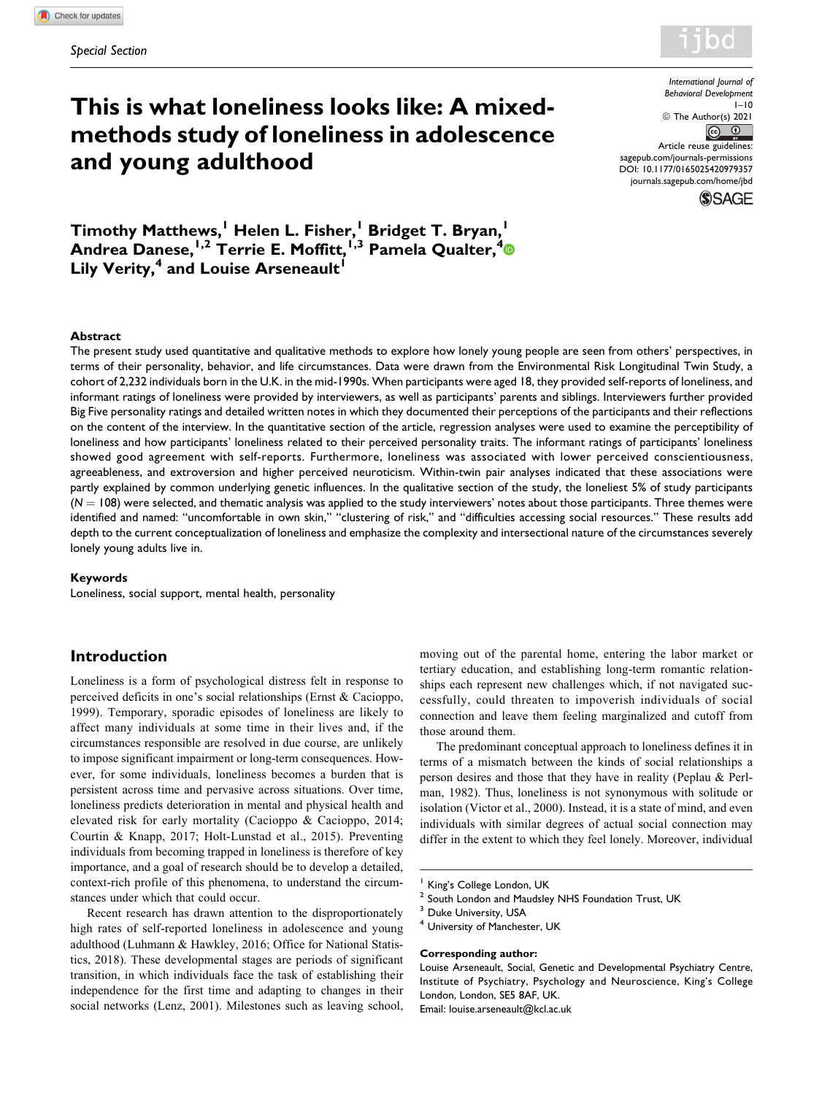

*International Journal of*

# **This is what loneliness looks like: A mixedmethods study of loneliness in adolescence and young adulthood**

*Behavioral Development*  $1 - 10$ © The Author(s) 2021  $\overline{r}$  $\odot$ Article reuse guidelines: [sagepub.com/journals-permissions](https://sagepub.com/journals-permissions) [DOI: 10.1177/0165025420979357](https://doi.org/10.1177/0165025420979357)

[journals.sagepub.com/home/jbd](http://journals.sagepub.com/home/jbd)

**SSAGE** 

**Timothy Matthews,<sup>1</sup> Helen L. Fisher,<sup>1</sup> Bridget T. Bryan,<sup>1</sup> Andrea Danese,1,2 Terrie E. Moffitt,1,3 Pamela Qualter,<sup>4</sup> Lily Verity,<sup>4</sup> and Louise Arseneault** 

### **Abstract**

The present study used quantitative and qualitative methods to explore how lonely young people are seen from others' perspectives, in terms of their personality, behavior, and life circumstances. Data were drawn from the Environmental Risk Longitudinal Twin Study, a cohort of 2,232 individuals born in the U.K. in the mid-1990s. When participants were aged 18, they provided self-reports of loneliness, and informant ratings of loneliness were provided by interviewers, as well as participants' parents and siblings. Interviewers further provided Big Five personality ratings and detailed written notes in which they documented their perceptions of the participants and their reflections on the content of the interview. In the quantitative section of the article, regression analyses were used to examine the perceptibility of loneliness and how participants' loneliness related to their perceived personality traits. The informant ratings of participants' loneliness showed good agreement with self-reports. Furthermore, loneliness was associated with lower perceived conscientiousness, agreeableness, and extroversion and higher perceived neuroticism. Within-twin pair analyses indicated that these associations were partly explained by common underlying genetic influences. In the qualitative section of the study, the loneliest 5% of study participants  $(N = 108)$  were selected, and thematic analysis was applied to the study interviewers' notes about those participants. Three themes were identified and named: "uncomfortable in own skin," "clustering of risk," and "difficulties accessing social resources." These results add depth to the current conceptualization of loneliness and emphasize the complexity and intersectional nature of the circumstances severely lonely young adults live in.

#### **Keywords**

Loneliness, social support, mental health, personality

## **Introduction**

Loneliness is a form of psychological distress felt in response to perceived deficits in one's social relationships (Ernst & Cacioppo, 1999). Temporary, sporadic episodes of loneliness are likely to affect many individuals at some time in their lives and, if the circumstances responsible are resolved in due course, are unlikely to impose significant impairment or long-term consequences. However, for some individuals, loneliness becomes a burden that is persistent across time and pervasive across situations. Over time, loneliness predicts deterioration in mental and physical health and elevated risk for early mortality (Cacioppo & Cacioppo, 2014; Courtin & Knapp, 2017; Holt-Lunstad et al., 2015). Preventing individuals from becoming trapped in loneliness is therefore of key importance, and a goal of research should be to develop a detailed, context-rich profile of this phenomena, to understand the circumstances under which that could occur.

Recent research has drawn attention to the disproportionately high rates of self-reported loneliness in adolescence and young adulthood (Luhmann & Hawkley, 2016; Office for National Statistics, 2018). These developmental stages are periods of significant transition, in which individuals face the task of establishing their independence for the first time and adapting to changes in their social networks (Lenz, 2001). Milestones such as leaving school,

moving out of the parental home, entering the labor market or tertiary education, and establishing long-term romantic relationships each represent new challenges which, if not navigated successfully, could threaten to impoverish individuals of social connection and leave them feeling marginalized and cutoff from those around them.

The predominant conceptual approach to loneliness defines it in terms of a mismatch between the kinds of social relationships a person desires and those that they have in reality (Peplau & Perlman, 1982). Thus, loneliness is not synonymous with solitude or isolation (Victor et al., 2000). Instead, it is a state of mind, and even individuals with similar degrees of actual social connection may differ in the extent to which they feel lonely. Moreover, individual

### **Corresponding author:**

King's College London, UK

<sup>&</sup>lt;sup>2</sup> South London and Maudsley NHS Foundation Trust, UK

Duke University, USA

<sup>&</sup>lt;sup>4</sup> University of Manchester, UK

Louise Arseneault, Social, Genetic and Developmental Psychiatry Centre, Institute of Psychiatry, Psychology and Neuroscience, King's College London, London, SE5 8AF, UK. Email: [louise.arseneault@kcl.ac.uk](mailto:louise.arseneault@kcl.ac.uk)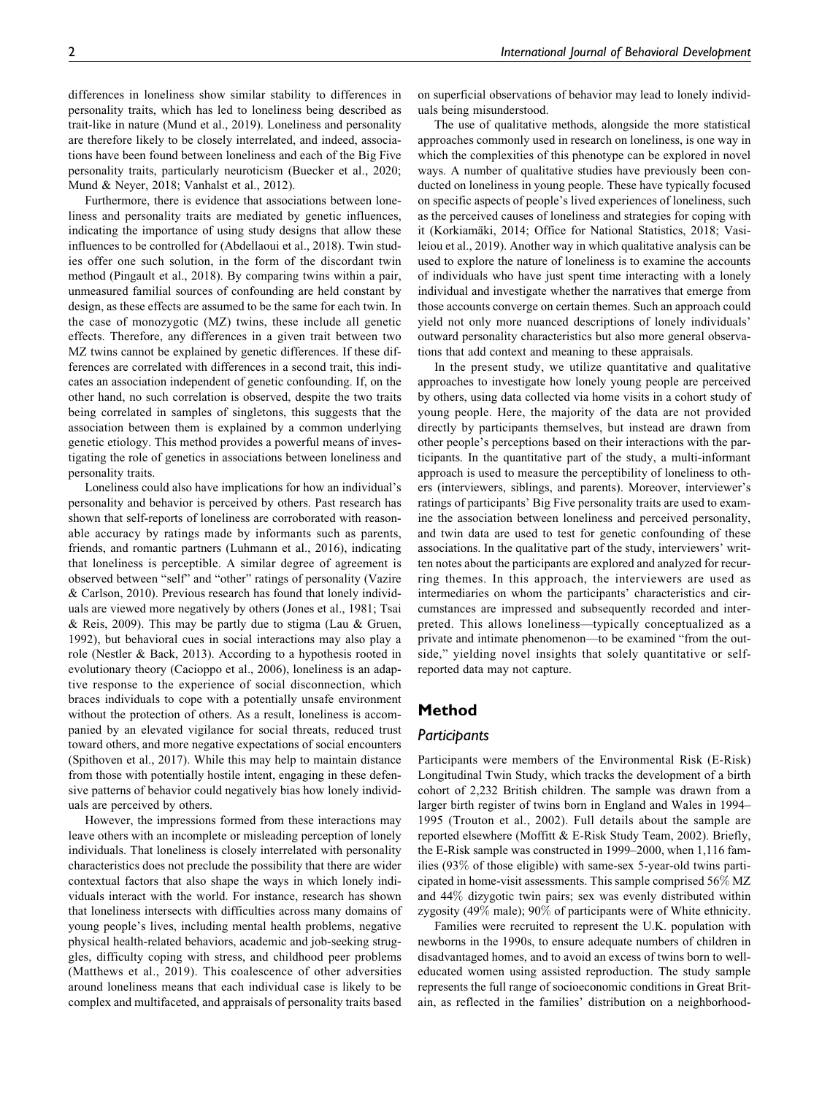differences in loneliness show similar stability to differences in personality traits, which has led to loneliness being described as trait-like in nature (Mund et al., 2019). Loneliness and personality are therefore likely to be closely interrelated, and indeed, associations have been found between loneliness and each of the Big Five personality traits, particularly neuroticism (Buecker et al., 2020; Mund & Neyer, 2018; Vanhalst et al., 2012).

Furthermore, there is evidence that associations between loneliness and personality traits are mediated by genetic influences, indicating the importance of using study designs that allow these influences to be controlled for (Abdellaoui et al., 2018). Twin studies offer one such solution, in the form of the discordant twin method (Pingault et al., 2018). By comparing twins within a pair, unmeasured familial sources of confounding are held constant by design, as these effects are assumed to be the same for each twin. In the case of monozygotic (MZ) twins, these include all genetic effects. Therefore, any differences in a given trait between two MZ twins cannot be explained by genetic differences. If these differences are correlated with differences in a second trait, this indicates an association independent of genetic confounding. If, on the other hand, no such correlation is observed, despite the two traits being correlated in samples of singletons, this suggests that the association between them is explained by a common underlying genetic etiology. This method provides a powerful means of investigating the role of genetics in associations between loneliness and personality traits.

Loneliness could also have implications for how an individual's personality and behavior is perceived by others. Past research has shown that self-reports of loneliness are corroborated with reasonable accuracy by ratings made by informants such as parents, friends, and romantic partners (Luhmann et al., 2016), indicating that loneliness is perceptible. A similar degree of agreement is observed between "self" and "other" ratings of personality (Vazire & Carlson, 2010). Previous research has found that lonely individuals are viewed more negatively by others (Jones et al., 1981; Tsai & Reis, 2009). This may be partly due to stigma (Lau & Gruen, 1992), but behavioral cues in social interactions may also play a role (Nestler & Back, 2013). According to a hypothesis rooted in evolutionary theory (Cacioppo et al., 2006), loneliness is an adaptive response to the experience of social disconnection, which braces individuals to cope with a potentially unsafe environment without the protection of others. As a result, loneliness is accompanied by an elevated vigilance for social threats, reduced trust toward others, and more negative expectations of social encounters (Spithoven et al., 2017). While this may help to maintain distance from those with potentially hostile intent, engaging in these defensive patterns of behavior could negatively bias how lonely individuals are perceived by others.

However, the impressions formed from these interactions may leave others with an incomplete or misleading perception of lonely individuals. That loneliness is closely interrelated with personality characteristics does not preclude the possibility that there are wider contextual factors that also shape the ways in which lonely individuals interact with the world. For instance, research has shown that loneliness intersects with difficulties across many domains of young people's lives, including mental health problems, negative physical health-related behaviors, academic and job-seeking struggles, difficulty coping with stress, and childhood peer problems (Matthews et al., 2019). This coalescence of other adversities around loneliness means that each individual case is likely to be complex and multifaceted, and appraisals of personality traits based on superficial observations of behavior may lead to lonely individuals being misunderstood.

The use of qualitative methods, alongside the more statistical approaches commonly used in research on loneliness, is one way in which the complexities of this phenotype can be explored in novel ways. A number of qualitative studies have previously been conducted on loneliness in young people. These have typically focused on specific aspects of people's lived experiences of loneliness, such as the perceived causes of loneliness and strategies for coping with it (Korkiamäki, 2014; Office for National Statistics, 2018; Vasileiou et al., 2019). Another way in which qualitative analysis can be used to explore the nature of loneliness is to examine the accounts of individuals who have just spent time interacting with a lonely individual and investigate whether the narratives that emerge from those accounts converge on certain themes. Such an approach could yield not only more nuanced descriptions of lonely individuals' outward personality characteristics but also more general observations that add context and meaning to these appraisals.

In the present study, we utilize quantitative and qualitative approaches to investigate how lonely young people are perceived by others, using data collected via home visits in a cohort study of young people. Here, the majority of the data are not provided directly by participants themselves, but instead are drawn from other people's perceptions based on their interactions with the participants. In the quantitative part of the study, a multi-informant approach is used to measure the perceptibility of loneliness to others (interviewers, siblings, and parents). Moreover, interviewer's ratings of participants' Big Five personality traits are used to examine the association between loneliness and perceived personality, and twin data are used to test for genetic confounding of these associations. In the qualitative part of the study, interviewers' written notes about the participants are explored and analyzed for recurring themes. In this approach, the interviewers are used as intermediaries on whom the participants' characteristics and circumstances are impressed and subsequently recorded and interpreted. This allows loneliness—typically conceptualized as a private and intimate phenomenon—to be examined "from the outside," yielding novel insights that solely quantitative or selfreported data may not capture.

# **Method**

### *Participants*

Participants were members of the Environmental Risk (E-Risk) Longitudinal Twin Study, which tracks the development of a birth cohort of 2,232 British children. The sample was drawn from a larger birth register of twins born in England and Wales in 1994– 1995 (Trouton et al., 2002). Full details about the sample are reported elsewhere (Moffitt & E-Risk Study Team, 2002). Briefly, the E-Risk sample was constructed in 1999–2000, when 1,116 families (93% of those eligible) with same-sex 5-year-old twins participated in home-visit assessments. This sample comprised 56% MZ and 44% dizygotic twin pairs; sex was evenly distributed within zygosity (49% male); 90% of participants were of White ethnicity.

Families were recruited to represent the U.K. population with newborns in the 1990s, to ensure adequate numbers of children in disadvantaged homes, and to avoid an excess of twins born to welleducated women using assisted reproduction. The study sample represents the full range of socioeconomic conditions in Great Britain, as reflected in the families' distribution on a neighborhood-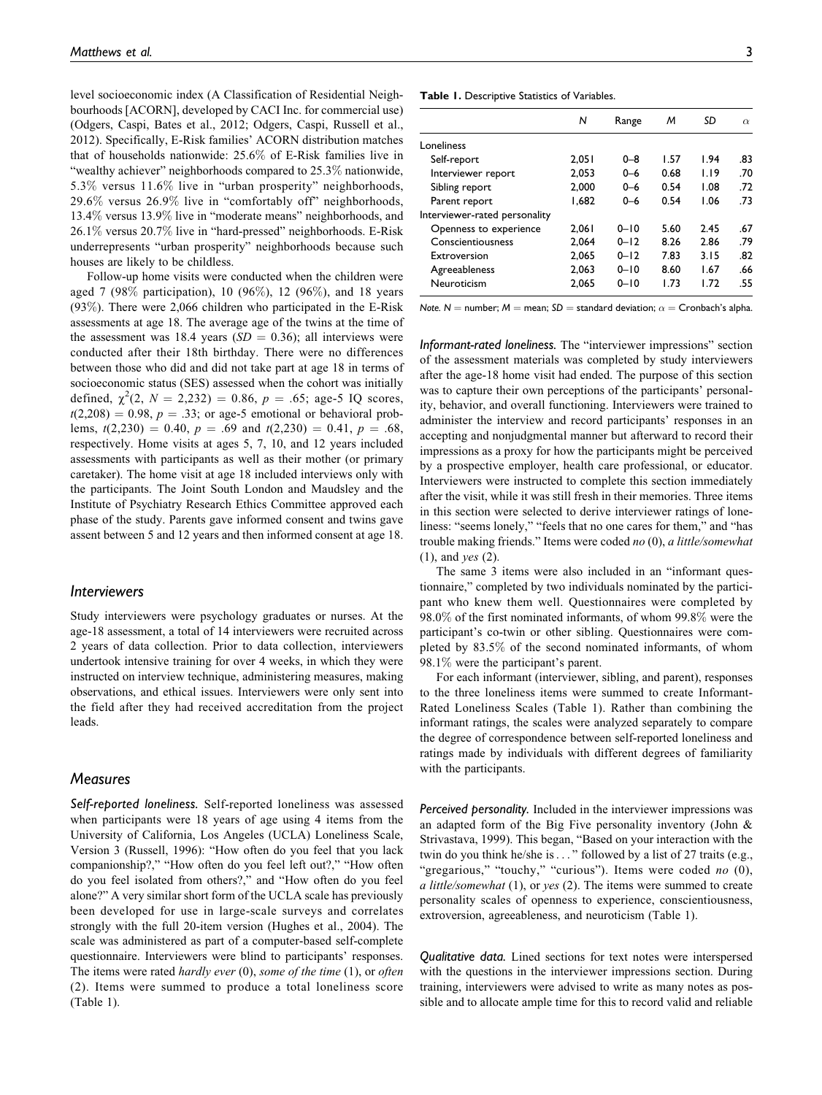level socioeconomic index (A Classification of Residential Neighbourhoods [ACORN], developed by CACI Inc. for commercial use) (Odgers, Caspi, Bates et al., 2012; Odgers, Caspi, Russell et al., 2012). Specifically, E-Risk families' ACORN distribution matches that of households nationwide: 25.6% of E-Risk families live in "wealthy achiever" neighborhoods compared to 25.3% nationwide, 5.3% versus 11.6% live in "urban prosperity" neighborhoods, 29.6% versus 26.9% live in "comfortably off" neighborhoods, 13.4% versus 13.9% live in "moderate means" neighborhoods, and 26.1% versus 20.7% live in "hard-pressed" neighborhoods. E-Risk underrepresents "urban prosperity" neighborhoods because such houses are likely to be childless.

Follow-up home visits were conducted when the children were aged 7 (98% participation), 10 (96%), 12 (96%), and 18 years (93%). There were 2,066 children who participated in the E-Risk assessments at age 18. The average age of the twins at the time of the assessment was 18.4 years ( $SD = 0.36$ ); all interviews were conducted after their 18th birthday. There were no differences between those who did and did not take part at age 18 in terms of socioeconomic status (SES) assessed when the cohort was initially defined,  $\chi^2(2, N = 2,232) = 0.86, p = .65$ ; age-5 IQ scores,  $t(2,208) = 0.98$ ,  $p = .33$ ; or age-5 emotional or behavioral problems,  $t(2,230) = 0.40$ ,  $p = .69$  and  $t(2,230) = 0.41$ ,  $p = .68$ , respectively. Home visits at ages 5, 7, 10, and 12 years included assessments with participants as well as their mother (or primary caretaker). The home visit at age 18 included interviews only with the participants. The Joint South London and Maudsley and the Institute of Psychiatry Research Ethics Committee approved each phase of the study. Parents gave informed consent and twins gave assent between 5 and 12 years and then informed consent at age 18.

### *Interviewers*

Study interviewers were psychology graduates or nurses. At the age-18 assessment, a total of 14 interviewers were recruited across 2 years of data collection. Prior to data collection, interviewers undertook intensive training for over 4 weeks, in which they were instructed on interview technique, administering measures, making observations, and ethical issues. Interviewers were only sent into the field after they had received accreditation from the project leads.

## *Measures*

*Self-reported loneliness.* Self-reported loneliness was assessed when participants were 18 years of age using 4 items from the University of California, Los Angeles (UCLA) Loneliness Scale, Version 3 (Russell, 1996): "How often do you feel that you lack companionship?," "How often do you feel left out?," "How often do you feel isolated from others?," and "How often do you feel alone?" A very similar short form of the UCLA scale has previously been developed for use in large-scale surveys and correlates strongly with the full 20-item version (Hughes et al., 2004). The scale was administered as part of a computer-based self-complete questionnaire. Interviewers were blind to participants' responses. The items were rated hardly ever  $(0)$ , some of the time  $(1)$ , or often (2). Items were summed to produce a total loneliness score (Table 1).

**Table 1.** Descriptive Statistics of Variables.

|                               | N     | Range    | м    | SD   | $\alpha$ |
|-------------------------------|-------|----------|------|------|----------|
| Loneliness                    |       |          |      |      |          |
| Self-report                   | 2.051 | $0 - 8$  | 1.57 | 1.94 | .83      |
| Interviewer report            | 2.053 | $0 - 6$  | 0.68 | 1.19 | .70      |
| Sibling report                | 2.000 | $0 - 6$  | 0.54 | 1.08 | .72      |
| Parent report                 | 1.682 | $0 - 6$  | 0.54 | 1.06 | .73      |
| Interviewer-rated personality |       |          |      |      |          |
| Openness to experience        | 2.061 | $0 - 10$ | 5.60 | 2.45 | .67      |
| Conscientiousness             | 2.064 | $0 - 12$ | 8.26 | 2.86 | .79      |
| Extroversion                  | 2.065 | $0 - 12$ | 7.83 | 3.15 | .82      |
| Agreeableness                 | 2.063 | $0 - 10$ | 8.60 | 1.67 | .66      |
| Neuroticism                   | 2.065 | $0 - 10$ | 1.73 | 1.72 | .55      |
|                               |       |          |      |      |          |

*Note. N* = number; *M* = mean; *SD* = standard deviation;  $\alpha$  = Cronbach's alpha.

*Informant-rated loneliness.* The "interviewer impressions" section of the assessment materials was completed by study interviewers after the age-18 home visit had ended. The purpose of this section was to capture their own perceptions of the participants' personality, behavior, and overall functioning. Interviewers were trained to administer the interview and record participants' responses in an accepting and nonjudgmental manner but afterward to record their impressions as a proxy for how the participants might be perceived by a prospective employer, health care professional, or educator. Interviewers were instructed to complete this section immediately after the visit, while it was still fresh in their memories. Three items in this section were selected to derive interviewer ratings of loneliness: "seems lonely," "feels that no one cares for them," and "has trouble making friends." Items were coded no (0), a little/somewhat (1), and yes (2).

The same 3 items were also included in an "informant questionnaire," completed by two individuals nominated by the participant who knew them well. Questionnaires were completed by 98.0% of the first nominated informants, of whom 99.8% were the participant's co-twin or other sibling. Questionnaires were completed by 83.5% of the second nominated informants, of whom 98.1% were the participant's parent.

For each informant (interviewer, sibling, and parent), responses to the three loneliness items were summed to create Informant-Rated Loneliness Scales (Table 1). Rather than combining the informant ratings, the scales were analyzed separately to compare the degree of correspondence between self-reported loneliness and ratings made by individuals with different degrees of familiarity with the participants.

*Perceived personality.* Included in the interviewer impressions was an adapted form of the Big Five personality inventory (John & Strivastava, 1999). This began, "Based on your interaction with the twin do you think he/she is... " followed by a list of 27 traits (e.g., "gregarious," "touchy," "curious"). Items were coded no (0), a little/somewhat  $(1)$ , or yes  $(2)$ . The items were summed to create personality scales of openness to experience, conscientiousness, extroversion, agreeableness, and neuroticism (Table 1).

*Qualitative data.* Lined sections for text notes were interspersed with the questions in the interviewer impressions section. During training, interviewers were advised to write as many notes as possible and to allocate ample time for this to record valid and reliable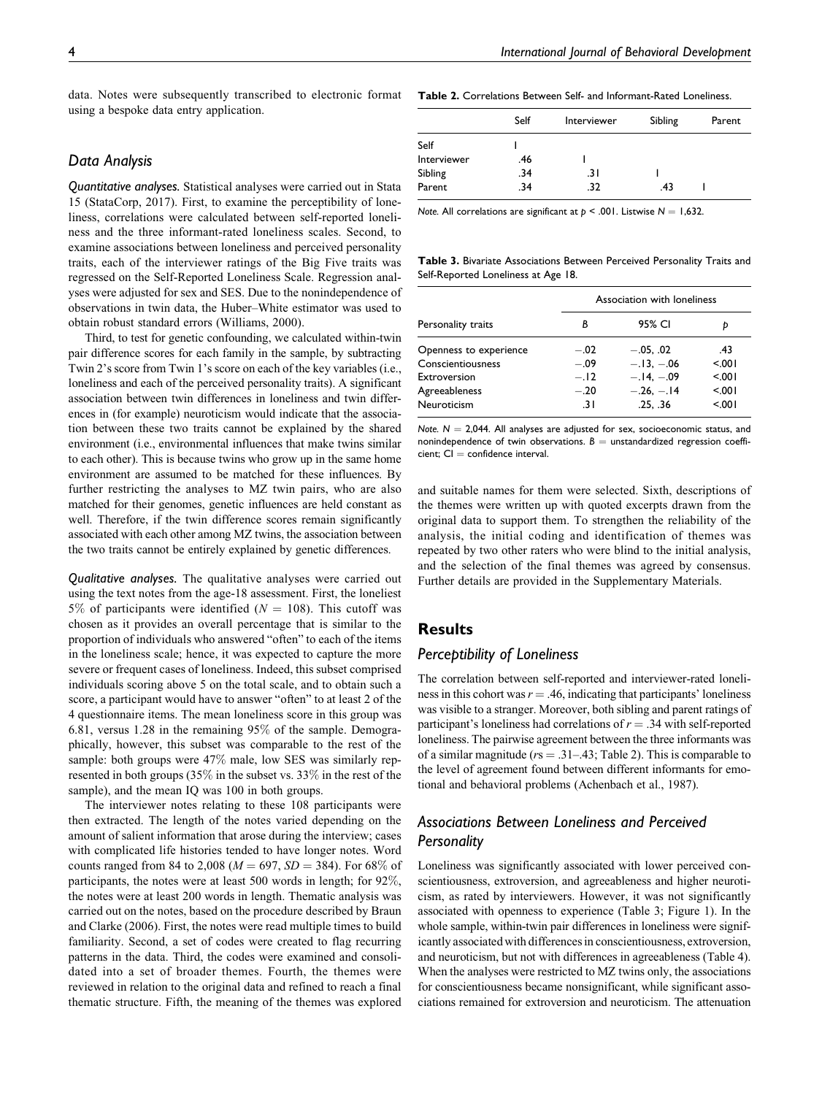data. Notes were subsequently transcribed to electronic format **Table 2.** Correlations Between Self- and Informant-Rated Loneliness. using a bespoke data entry application.

# *Data Analysis*

*Quantitative analyses.* Statistical analyses were carried out in Stata 15 (StataCorp, 2017). First, to examine the perceptibility of loneliness, correlations were calculated between self-reported loneliness and the three informant-rated loneliness scales. Second, to examine associations between loneliness and perceived personality traits, each of the interviewer ratings of the Big Five traits was regressed on the Self-Reported Loneliness Scale. Regression analyses were adjusted for sex and SES. Due to the nonindependence of observations in twin data, the Huber–White estimator was used to obtain robust standard errors (Williams, 2000).

Third, to test for genetic confounding, we calculated within-twin pair difference scores for each family in the sample, by subtracting Twin 2's score from Twin 1's score on each of the key variables (i.e., loneliness and each of the perceived personality traits). A significant association between twin differences in loneliness and twin differences in (for example) neuroticism would indicate that the association between these two traits cannot be explained by the shared environment (i.e., environmental influences that make twins similar to each other). This is because twins who grow up in the same home environment are assumed to be matched for these influences. By further restricting the analyses to MZ twin pairs, who are also matched for their genomes, genetic influences are held constant as well. Therefore, if the twin difference scores remain significantly associated with each other among MZ twins, the association between the two traits cannot be entirely explained by genetic differences.

*Qualitative analyses.* The qualitative analyses were carried out using the text notes from the age-18 assessment. First, the loneliest 5% of participants were identified ( $N = 108$ ). This cutoff was chosen as it provides an overall percentage that is similar to the proportion of individuals who answered "often" to each of the items in the loneliness scale; hence, it was expected to capture the more severe or frequent cases of loneliness. Indeed, this subset comprised individuals scoring above 5 on the total scale, and to obtain such a score, a participant would have to answer "often" to at least 2 of the 4 questionnaire items. The mean loneliness score in this group was 6.81, versus 1.28 in the remaining 95% of the sample. Demographically, however, this subset was comparable to the rest of the sample: both groups were 47% male, low SES was similarly represented in both groups (35% in the subset vs. 33% in the rest of the sample), and the mean IQ was 100 in both groups.

The interviewer notes relating to these 108 participants were then extracted. The length of the notes varied depending on the amount of salient information that arose during the interview; cases with complicated life histories tended to have longer notes. Word counts ranged from 84 to 2,008 ( $M = 697$ ,  $SD = 384$ ). For 68% of participants, the notes were at least 500 words in length; for 92%, the notes were at least 200 words in length. Thematic analysis was carried out on the notes, based on the procedure described by Braun and Clarke (2006). First, the notes were read multiple times to build familiarity. Second, a set of codes were created to flag recurring patterns in the data. Third, the codes were examined and consolidated into a set of broader themes. Fourth, the themes were reviewed in relation to the original data and refined to reach a final thematic structure. Fifth, the meaning of the themes was explored

|             | Self | <b>Interviewer</b> | Sibling | Parent |
|-------------|------|--------------------|---------|--------|
| Self        |      |                    |         |        |
| Interviewer | .46  |                    |         |        |
| Sibling     | .34  | .3 I               |         |        |
| Parent      | .34  | .32                | .43     |        |

*Note.* All correlations are significant at  $p < .001$ . Listwise  $N = 1,632$ .

**Table 3.** Bivariate Associations Between Perceived Personality Traits and Self-Reported Loneliness at Age 18.

|                        |        | Association with loneliness |         |  |  |
|------------------------|--------|-----------------------------|---------|--|--|
| Personality traits     | В      | 95% CI                      | D       |  |  |
| Openness to experience | $-.02$ | $-.05. .02$                 | .43     |  |  |
| Conscientiousness      | $-.09$ | $-.13.-.06$                 | 5001    |  |  |
| Extroversion           | $-.12$ | $-.14.-.09$                 | $500 -$ |  |  |
| Agreeableness          | $-.20$ | $-.26, -.14$                | $500 -$ |  |  |
| Neuroticism            | -31    | .25. .36                    | $500 -$ |  |  |

*Note.*  $N = 2,044$ . All analyses are adjusted for sex, socioeconomic status, and nonindependence of twin observations.  $B =$  unstandardized regression coeffi $cient$ :  $Cl =$  confidence interval.

and suitable names for them were selected. Sixth, descriptions of the themes were written up with quoted excerpts drawn from the original data to support them. To strengthen the reliability of the analysis, the initial coding and identification of themes was repeated by two other raters who were blind to the initial analysis, and the selection of the final themes was agreed by consensus. Further details are provided in the Supplementary Materials.

# **Results**

# *Perceptibility of Loneliness*

The correlation between self-reported and interviewer-rated loneliness in this cohort was  $r = .46$ , indicating that participants' loneliness was visible to a stranger. Moreover, both sibling and parent ratings of participant's loneliness had correlations of  $r = .34$  with self-reported loneliness. The pairwise agreement between the three informants was of a similar magnitude ( $rs = .31-.43$ ; Table 2). This is comparable to the level of agreement found between different informants for emotional and behavioral problems (Achenbach et al., 1987).

# *Associations Between Loneliness and Perceived Personality*

Loneliness was significantly associated with lower perceived conscientiousness, extroversion, and agreeableness and higher neuroticism, as rated by interviewers. However, it was not significantly associated with openness to experience (Table 3; Figure 1). In the whole sample, within-twin pair differences in loneliness were significantly associated with differences in conscientiousness, extroversion, and neuroticism, but not with differences in agreeableness (Table 4). When the analyses were restricted to MZ twins only, the associations for conscientiousness became nonsignificant, while significant associations remained for extroversion and neuroticism. The attenuation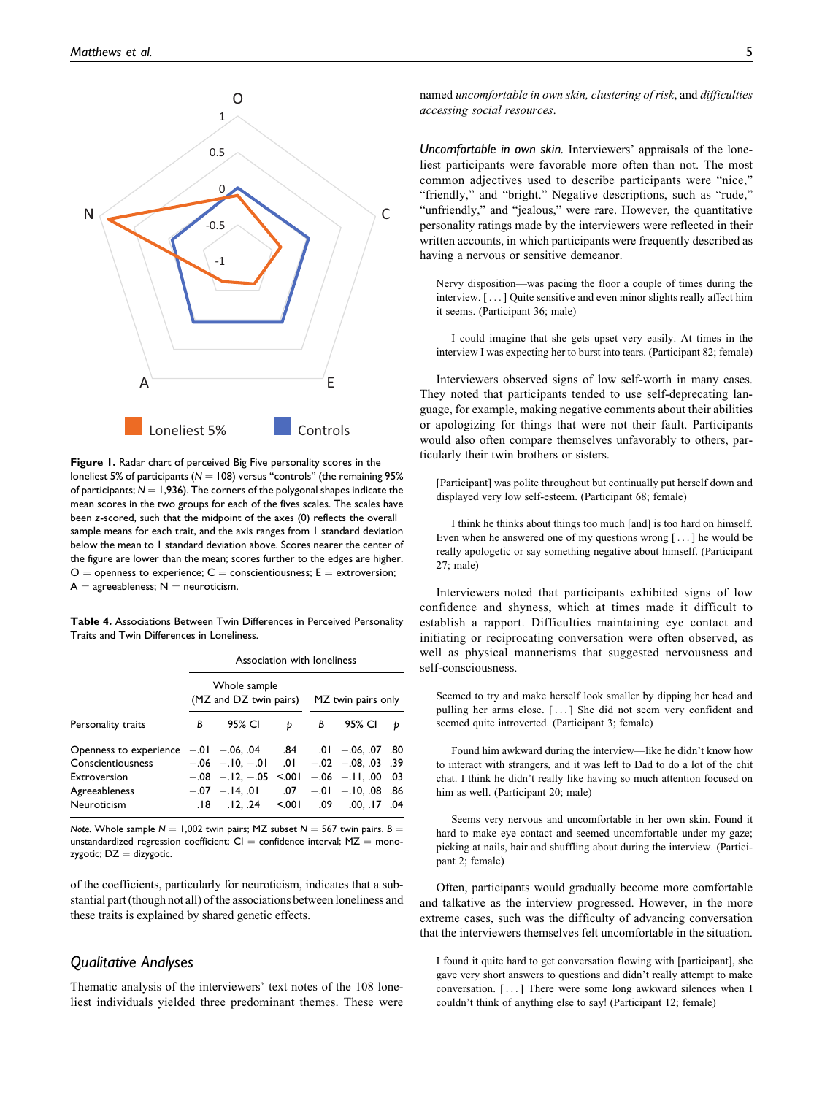

**Figure 1.** Radar chart of perceived Big Five personality scores in the loneliest 5% of participants ( $N = 108$ ) versus "controls" (the remaining 95% of participants;  $N = 1,936$ ). The corners of the polygonal shapes indicate the mean scores in the two groups for each of the fives scales. The scales have been *z*-scored, such that the midpoint of the axes (0) reflects the overall sample means for each trait, and the axis ranges from 1 standard deviation below the mean to 1 standard deviation above. Scores nearer the center of the figure are lower than the mean; scores further to the edges are higher.  $O =$  openness to experience;  $C =$  conscientiousness;  $E =$  extroversion;  $A =$  agreeableness;  $N =$  neuroticism.

**Table 4.** Associations Between Twin Differences in Perceived Personality Traits and Twin Differences in Loneliness.

|                                           | Association with loneliness            |                         |       |                    |                        |   |
|-------------------------------------------|----------------------------------------|-------------------------|-------|--------------------|------------------------|---|
|                                           | Whole sample<br>(MZ and DZ twin pairs) |                         |       | MZ twin pairs only |                        |   |
| Personality traits                        | В                                      | 95% CI                  | Þ     | В                  | 95% CI                 | Þ |
| Openness to experience $-.01$ $-.06$ , 04 |                                        |                         |       |                    | .84 .01 .06, .07 .80   |   |
| Conscientiousness                         |                                        | $-.06$ $-.10, -.01$ 0.1 |       |                    | $-.02$ $-.08, .03$ .39 |   |
| Extroversion                              |                                        | $-.08$ $-.12, -.05$     | 5.001 |                    | $-.06$ $-.11, .00$ .03 |   |
| Agreeableness                             |                                        | $-.07$ $-.14, .01$ .07  |       |                    | $-.01$ $-.10, .08$ .86 |   |
| Neuroticism                               |                                        | .18 .12, .24            | 5001  | .09                | $.00, .17$ .04         |   |

*Note.* Whole sample  $N = 1,002$  twin pairs; MZ subset  $N = 567$  twin pairs.  $B =$ unstandardized regression coefficient;  $CI =$  confidence interval;  $MZ =$  monozygotic;  $DZ =$  dizygotic.

of the coefficients, particularly for neuroticism, indicates that a substantial part (though not all) of the associations between loneliness and these traits is explained by shared genetic effects.

# *Qualitative Analyses*

Thematic analysis of the interviewers' text notes of the 108 loneliest individuals yielded three predominant themes. These were named uncomfortable in own skin, clustering of risk, and difficulties accessing social resources.

*Uncomfortable in own skin.* Interviewers' appraisals of the loneliest participants were favorable more often than not. The most common adjectives used to describe participants were "nice," "friendly," and "bright." Negative descriptions, such as "rude," "unfriendly," and "jealous," were rare. However, the quantitative personality ratings made by the interviewers were reflected in their written accounts, in which participants were frequently described as having a nervous or sensitive demeanor.

Nervy disposition—was pacing the floor a couple of times during the interview. [... ] Quite sensitive and even minor slights really affect him it seems. (Participant 36; male)

I could imagine that she gets upset very easily. At times in the interview I was expecting her to burst into tears. (Participant 82; female)

Interviewers observed signs of low self-worth in many cases. They noted that participants tended to use self-deprecating language, for example, making negative comments about their abilities or apologizing for things that were not their fault. Participants would also often compare themselves unfavorably to others, particularly their twin brothers or sisters.

[Participant] was polite throughout but continually put herself down and displayed very low self-esteem. (Participant 68; female)

I think he thinks about things too much [and] is too hard on himself. Even when he answered one of my questions wrong [ ...] he would be really apologetic or say something negative about himself. (Participant 27; male)

Interviewers noted that participants exhibited signs of low confidence and shyness, which at times made it difficult to establish a rapport. Difficulties maintaining eye contact and initiating or reciprocating conversation were often observed, as well as physical mannerisms that suggested nervousness and self-consciousness.

Seemed to try and make herself look smaller by dipping her head and pulling her arms close. [ ... ] She did not seem very confident and seemed quite introverted. (Participant 3; female)

Found him awkward during the interview—like he didn't know how to interact with strangers, and it was left to Dad to do a lot of the chit chat. I think he didn't really like having so much attention focused on him as well. (Participant 20; male)

Seems very nervous and uncomfortable in her own skin. Found it hard to make eye contact and seemed uncomfortable under my gaze; picking at nails, hair and shuffling about during the interview. (Participant 2; female)

Often, participants would gradually become more comfortable and talkative as the interview progressed. However, in the more extreme cases, such was the difficulty of advancing conversation that the interviewers themselves felt uncomfortable in the situation.

I found it quite hard to get conversation flowing with [participant], she gave very short answers to questions and didn't really attempt to make conversation. [... ] There were some long awkward silences when I couldn't think of anything else to say! (Participant 12; female)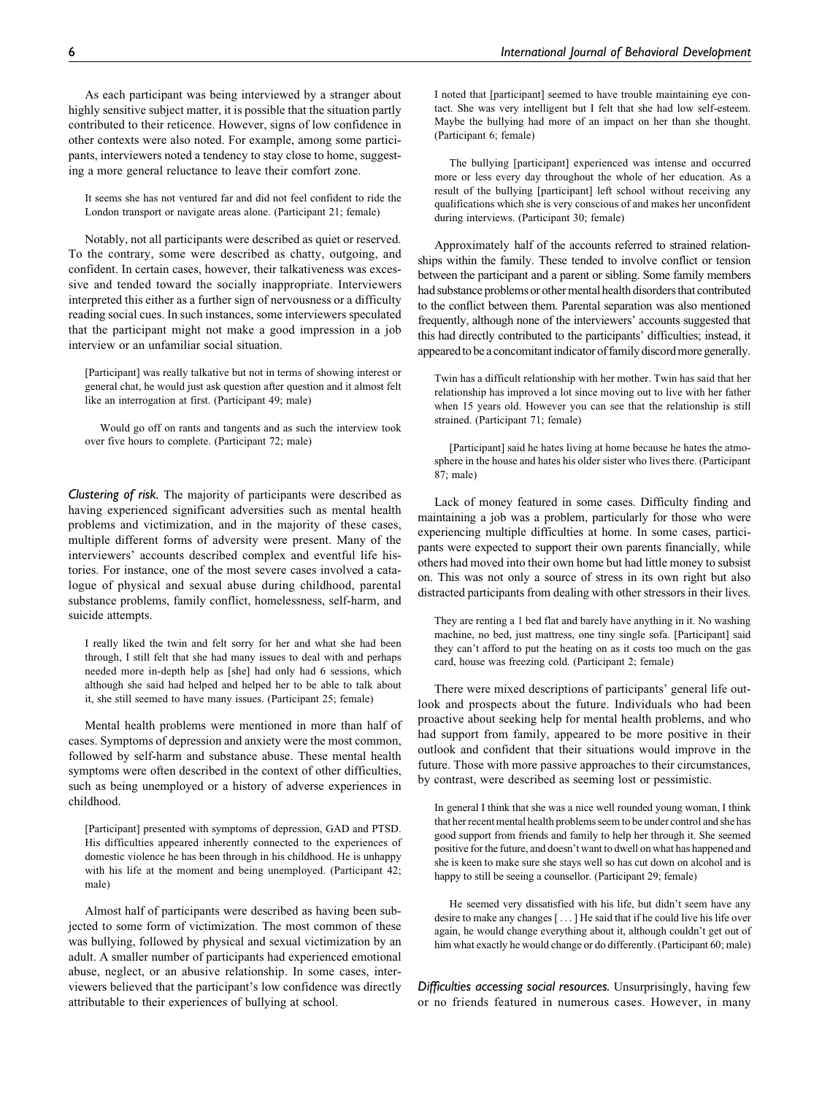As each participant was being interviewed by a stranger about highly sensitive subject matter, it is possible that the situation partly contributed to their reticence. However, signs of low confidence in other contexts were also noted. For example, among some participants, interviewers noted a tendency to stay close to home, suggesting a more general reluctance to leave their comfort zone.

It seems she has not ventured far and did not feel confident to ride the London transport or navigate areas alone. (Participant 21; female)

Notably, not all participants were described as quiet or reserved. To the contrary, some were described as chatty, outgoing, and confident. In certain cases, however, their talkativeness was excessive and tended toward the socially inappropriate. Interviewers interpreted this either as a further sign of nervousness or a difficulty reading social cues. In such instances, some interviewers speculated that the participant might not make a good impression in a job interview or an unfamiliar social situation.

[Participant] was really talkative but not in terms of showing interest or general chat, he would just ask question after question and it almost felt like an interrogation at first. (Participant 49; male)

Would go off on rants and tangents and as such the interview took over five hours to complete. (Participant 72; male)

*Clustering of risk.* The majority of participants were described as having experienced significant adversities such as mental health problems and victimization, and in the majority of these cases, multiple different forms of adversity were present. Many of the interviewers' accounts described complex and eventful life histories. For instance, one of the most severe cases involved a catalogue of physical and sexual abuse during childhood, parental substance problems, family conflict, homelessness, self-harm, and suicide attempts.

I really liked the twin and felt sorry for her and what she had been through, I still felt that she had many issues to deal with and perhaps needed more in-depth help as [she] had only had 6 sessions, which although she said had helped and helped her to be able to talk about it, she still seemed to have many issues. (Participant 25; female)

Mental health problems were mentioned in more than half of cases. Symptoms of depression and anxiety were the most common, followed by self-harm and substance abuse. These mental health symptoms were often described in the context of other difficulties, such as being unemployed or a history of adverse experiences in childhood.

[Participant] presented with symptoms of depression, GAD and PTSD. His difficulties appeared inherently connected to the experiences of domestic violence he has been through in his childhood. He is unhappy with his life at the moment and being unemployed. (Participant 42; male)

Almost half of participants were described as having been subjected to some form of victimization. The most common of these was bullying, followed by physical and sexual victimization by an adult. A smaller number of participants had experienced emotional abuse, neglect, or an abusive relationship. In some cases, interviewers believed that the participant's low confidence was directly attributable to their experiences of bullying at school.

I noted that [participant] seemed to have trouble maintaining eye contact. She was very intelligent but I felt that she had low self-esteem. Maybe the bullying had more of an impact on her than she thought. (Participant 6; female)

The bullying [participant] experienced was intense and occurred more or less every day throughout the whole of her education. As a result of the bullying [participant] left school without receiving any qualifications which she is very conscious of and makes her unconfident during interviews. (Participant 30; female)

Approximately half of the accounts referred to strained relationships within the family. These tended to involve conflict or tension between the participant and a parent or sibling. Some family members had substance problems or other mental health disorders that contributed to the conflict between them. Parental separation was also mentioned frequently, although none of the interviewers' accounts suggested that this had directly contributed to the participants' difficulties; instead, it appeared to be a concomitant indicator of family discord more generally.

Twin has a difficult relationship with her mother. Twin has said that her relationship has improved a lot since moving out to live with her father when 15 years old. However you can see that the relationship is still strained. (Participant 71; female)

[Participant] said he hates living at home because he hates the atmosphere in the house and hates his older sister who lives there. (Participant 87; male)

Lack of money featured in some cases. Difficulty finding and maintaining a job was a problem, particularly for those who were experiencing multiple difficulties at home. In some cases, participants were expected to support their own parents financially, while others had moved into their own home but had little money to subsist on. This was not only a source of stress in its own right but also distracted participants from dealing with other stressors in their lives.

They are renting a 1 bed flat and barely have anything in it. No washing machine, no bed, just mattress, one tiny single sofa. [Participant] said they can't afford to put the heating on as it costs too much on the gas card, house was freezing cold. (Participant 2; female)

There were mixed descriptions of participants' general life outlook and prospects about the future. Individuals who had been proactive about seeking help for mental health problems, and who had support from family, appeared to be more positive in their outlook and confident that their situations would improve in the future. Those with more passive approaches to their circumstances, by contrast, were described as seeming lost or pessimistic.

In general I think that she was a nice well rounded young woman, I think that her recent mental health problems seem to be under control and she has good support from friends and family to help her through it. She seemed positive for the future, and doesn't want to dwell on what has happened and she is keen to make sure she stays well so has cut down on alcohol and is happy to still be seeing a counsellor. (Participant 29; female)

He seemed very dissatisfied with his life, but didn't seem have any desire to make any changes [... ] He said that if he could live his life over again, he would change everything about it, although couldn't get out of him what exactly he would change or do differently. (Participant 60; male)

*Difficulties accessing social resources.* Unsurprisingly, having few or no friends featured in numerous cases. However, in many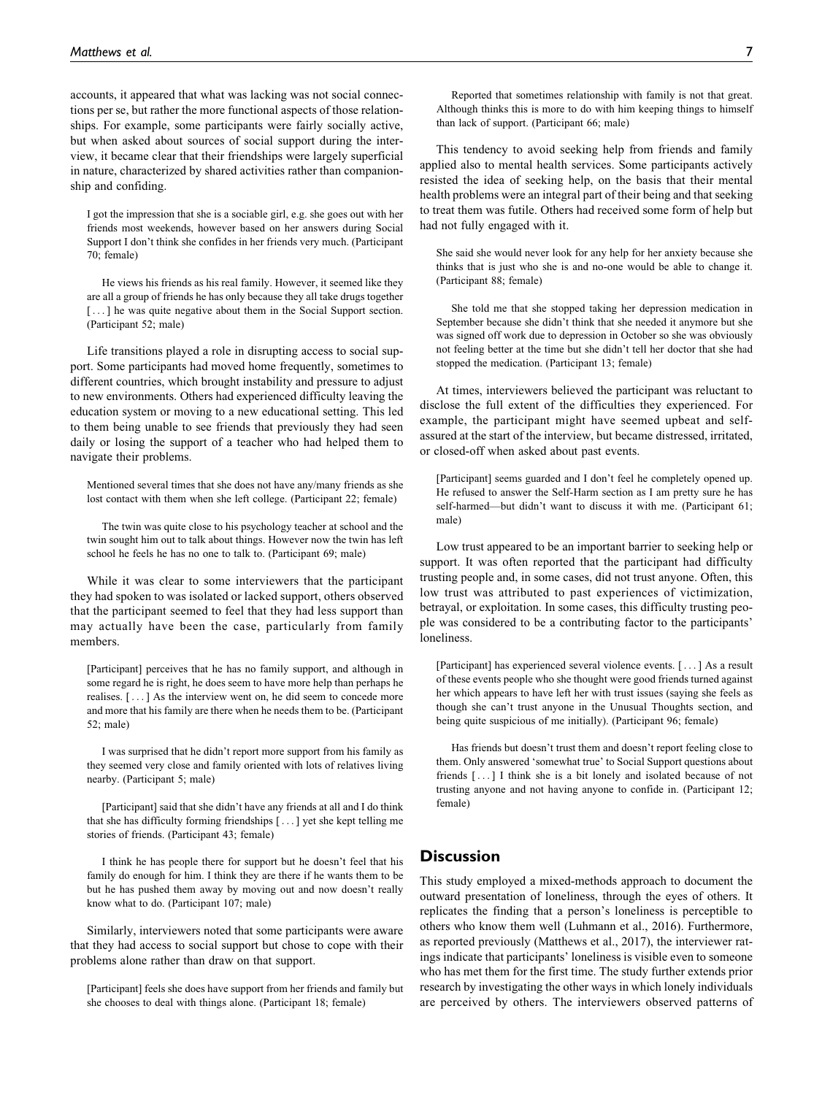accounts, it appeared that what was lacking was not social connections per se, but rather the more functional aspects of those relationships. For example, some participants were fairly socially active, but when asked about sources of social support during the interview, it became clear that their friendships were largely superficial in nature, characterized by shared activities rather than companionship and confiding.

I got the impression that she is a sociable girl, e.g. she goes out with her friends most weekends, however based on her answers during Social Support I don't think she confides in her friends very much. (Participant 70; female)

He views his friends as his real family. However, it seemed like they are all a group of friends he has only because they all take drugs together [...] he was quite negative about them in the Social Support section. (Participant 52; male)

Life transitions played a role in disrupting access to social support. Some participants had moved home frequently, sometimes to different countries, which brought instability and pressure to adjust to new environments. Others had experienced difficulty leaving the education system or moving to a new educational setting. This led to them being unable to see friends that previously they had seen daily or losing the support of a teacher who had helped them to navigate their problems.

Mentioned several times that she does not have any/many friends as she lost contact with them when she left college. (Participant 22; female)

The twin was quite close to his psychology teacher at school and the twin sought him out to talk about things. However now the twin has left school he feels he has no one to talk to. (Participant 69; male)

While it was clear to some interviewers that the participant they had spoken to was isolated or lacked support, others observed that the participant seemed to feel that they had less support than may actually have been the case, particularly from family members.

[Participant] perceives that he has no family support, and although in some regard he is right, he does seem to have more help than perhaps he realises. [... ] As the interview went on, he did seem to concede more and more that his family are there when he needs them to be. (Participant 52; male)

I was surprised that he didn't report more support from his family as they seemed very close and family oriented with lots of relatives living nearby. (Participant 5; male)

[Participant] said that she didn't have any friends at all and I do think that she has difficulty forming friendships [... ] yet she kept telling me stories of friends. (Participant 43; female)

I think he has people there for support but he doesn't feel that his family do enough for him. I think they are there if he wants them to be but he has pushed them away by moving out and now doesn't really know what to do. (Participant 107; male)

Similarly, interviewers noted that some participants were aware that they had access to social support but chose to cope with their problems alone rather than draw on that support.

[Participant] feels she does have support from her friends and family but she chooses to deal with things alone. (Participant 18; female)

Reported that sometimes relationship with family is not that great. Although thinks this is more to do with him keeping things to himself than lack of support. (Participant 66; male)

This tendency to avoid seeking help from friends and family applied also to mental health services. Some participants actively resisted the idea of seeking help, on the basis that their mental health problems were an integral part of their being and that seeking to treat them was futile. Others had received some form of help but had not fully engaged with it.

She said she would never look for any help for her anxiety because she thinks that is just who she is and no-one would be able to change it. (Participant 88; female)

She told me that she stopped taking her depression medication in September because she didn't think that she needed it anymore but she was signed off work due to depression in October so she was obviously not feeling better at the time but she didn't tell her doctor that she had stopped the medication. (Participant 13; female)

At times, interviewers believed the participant was reluctant to disclose the full extent of the difficulties they experienced. For example, the participant might have seemed upbeat and selfassured at the start of the interview, but became distressed, irritated, or closed-off when asked about past events.

[Participant] seems guarded and I don't feel he completely opened up. He refused to answer the Self-Harm section as I am pretty sure he has self-harmed—but didn't want to discuss it with me. (Participant 61; male)

Low trust appeared to be an important barrier to seeking help or support. It was often reported that the participant had difficulty trusting people and, in some cases, did not trust anyone. Often, this low trust was attributed to past experiences of victimization, betrayal, or exploitation. In some cases, this difficulty trusting people was considered to be a contributing factor to the participants' loneliness.

[Participant] has experienced several violence events. [...] As a result of these events people who she thought were good friends turned against her which appears to have left her with trust issues (saying she feels as though she can't trust anyone in the Unusual Thoughts section, and being quite suspicious of me initially). (Participant 96; female)

Has friends but doesn't trust them and doesn't report feeling close to them. Only answered 'somewhat true' to Social Support questions about friends [ ...] I think she is a bit lonely and isolated because of not trusting anyone and not having anyone to confide in. (Participant 12; female)

# **Discussion**

This study employed a mixed-methods approach to document the outward presentation of loneliness, through the eyes of others. It replicates the finding that a person's loneliness is perceptible to others who know them well (Luhmann et al., 2016). Furthermore, as reported previously (Matthews et al., 2017), the interviewer ratings indicate that participants' loneliness is visible even to someone who has met them for the first time. The study further extends prior research by investigating the other ways in which lonely individuals are perceived by others. The interviewers observed patterns of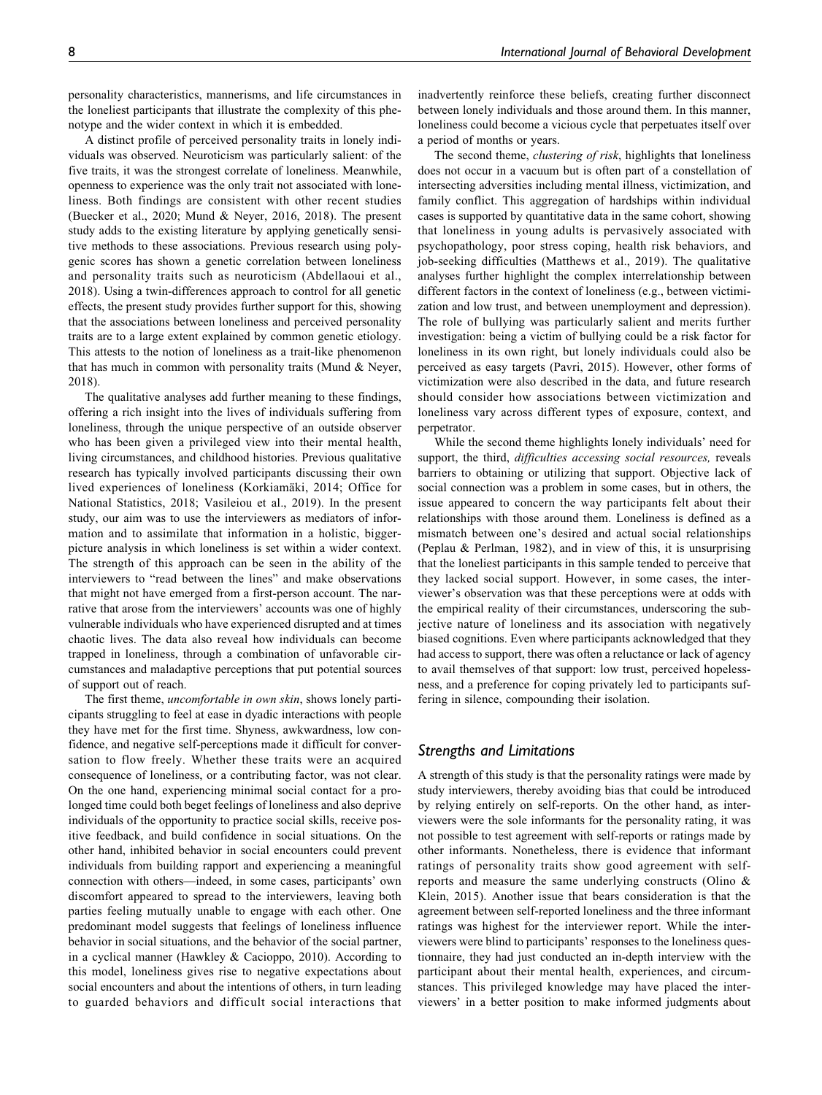personality characteristics, mannerisms, and life circumstances in the loneliest participants that illustrate the complexity of this phenotype and the wider context in which it is embedded.

A distinct profile of perceived personality traits in lonely individuals was observed. Neuroticism was particularly salient: of the five traits, it was the strongest correlate of loneliness. Meanwhile, openness to experience was the only trait not associated with loneliness. Both findings are consistent with other recent studies (Buecker et al., 2020; Mund & Neyer, 2016, 2018). The present study adds to the existing literature by applying genetically sensitive methods to these associations. Previous research using polygenic scores has shown a genetic correlation between loneliness and personality traits such as neuroticism (Abdellaoui et al., 2018). Using a twin-differences approach to control for all genetic effects, the present study provides further support for this, showing that the associations between loneliness and perceived personality traits are to a large extent explained by common genetic etiology. This attests to the notion of loneliness as a trait-like phenomenon that has much in common with personality traits (Mund & Neyer, 2018).

The qualitative analyses add further meaning to these findings, offering a rich insight into the lives of individuals suffering from loneliness, through the unique perspective of an outside observer who has been given a privileged view into their mental health, living circumstances, and childhood histories. Previous qualitative research has typically involved participants discussing their own lived experiences of loneliness (Korkiamäki, 2014; Office for National Statistics, 2018; Vasileiou et al., 2019). In the present study, our aim was to use the interviewers as mediators of information and to assimilate that information in a holistic, biggerpicture analysis in which loneliness is set within a wider context. The strength of this approach can be seen in the ability of the interviewers to "read between the lines" and make observations that might not have emerged from a first-person account. The narrative that arose from the interviewers' accounts was one of highly vulnerable individuals who have experienced disrupted and at times chaotic lives. The data also reveal how individuals can become trapped in loneliness, through a combination of unfavorable circumstances and maladaptive perceptions that put potential sources of support out of reach.

The first theme, uncomfortable in own skin, shows lonely participants struggling to feel at ease in dyadic interactions with people they have met for the first time. Shyness, awkwardness, low confidence, and negative self-perceptions made it difficult for conversation to flow freely. Whether these traits were an acquired consequence of loneliness, or a contributing factor, was not clear. On the one hand, experiencing minimal social contact for a prolonged time could both beget feelings of loneliness and also deprive individuals of the opportunity to practice social skills, receive positive feedback, and build confidence in social situations. On the other hand, inhibited behavior in social encounters could prevent individuals from building rapport and experiencing a meaningful connection with others—indeed, in some cases, participants' own discomfort appeared to spread to the interviewers, leaving both parties feeling mutually unable to engage with each other. One predominant model suggests that feelings of loneliness influence behavior in social situations, and the behavior of the social partner, in a cyclical manner (Hawkley & Cacioppo, 2010). According to this model, loneliness gives rise to negative expectations about social encounters and about the intentions of others, in turn leading to guarded behaviors and difficult social interactions that inadvertently reinforce these beliefs, creating further disconnect between lonely individuals and those around them. In this manner, loneliness could become a vicious cycle that perpetuates itself over a period of months or years.

The second theme, *clustering of risk*, highlights that loneliness does not occur in a vacuum but is often part of a constellation of intersecting adversities including mental illness, victimization, and family conflict. This aggregation of hardships within individual cases is supported by quantitative data in the same cohort, showing that loneliness in young adults is pervasively associated with psychopathology, poor stress coping, health risk behaviors, and job-seeking difficulties (Matthews et al., 2019). The qualitative analyses further highlight the complex interrelationship between different factors in the context of loneliness (e.g., between victimization and low trust, and between unemployment and depression). The role of bullying was particularly salient and merits further investigation: being a victim of bullying could be a risk factor for loneliness in its own right, but lonely individuals could also be perceived as easy targets (Pavri, 2015). However, other forms of victimization were also described in the data, and future research should consider how associations between victimization and loneliness vary across different types of exposure, context, and perpetrator.

While the second theme highlights lonely individuals' need for support, the third, difficulties accessing social resources, reveals barriers to obtaining or utilizing that support. Objective lack of social connection was a problem in some cases, but in others, the issue appeared to concern the way participants felt about their relationships with those around them. Loneliness is defined as a mismatch between one's desired and actual social relationships (Peplau & Perlman, 1982), and in view of this, it is unsurprising that the loneliest participants in this sample tended to perceive that they lacked social support. However, in some cases, the interviewer's observation was that these perceptions were at odds with the empirical reality of their circumstances, underscoring the subjective nature of loneliness and its association with negatively biased cognitions. Even where participants acknowledged that they had access to support, there was often a reluctance or lack of agency to avail themselves of that support: low trust, perceived hopelessness, and a preference for coping privately led to participants suffering in silence, compounding their isolation.

### *Strengths and Limitations*

A strength of this study is that the personality ratings were made by study interviewers, thereby avoiding bias that could be introduced by relying entirely on self-reports. On the other hand, as interviewers were the sole informants for the personality rating, it was not possible to test agreement with self-reports or ratings made by other informants. Nonetheless, there is evidence that informant ratings of personality traits show good agreement with selfreports and measure the same underlying constructs (Olino & Klein, 2015). Another issue that bears consideration is that the agreement between self-reported loneliness and the three informant ratings was highest for the interviewer report. While the interviewers were blind to participants' responses to the loneliness questionnaire, they had just conducted an in-depth interview with the participant about their mental health, experiences, and circumstances. This privileged knowledge may have placed the interviewers' in a better position to make informed judgments about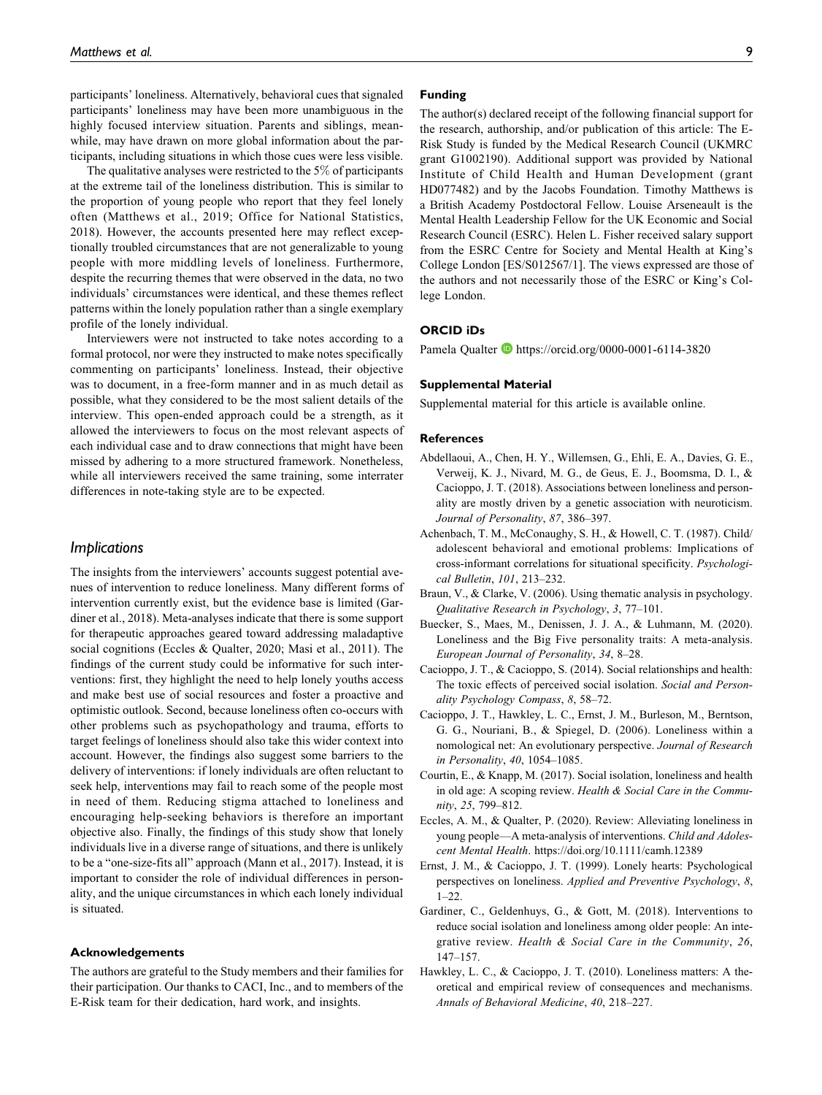participants' loneliness. Alternatively, behavioral cues that signaled participants' loneliness may have been more unambiguous in the highly focused interview situation. Parents and siblings, meanwhile, may have drawn on more global information about the participants, including situations in which those cues were less visible.

The qualitative analyses were restricted to the 5% of participants at the extreme tail of the loneliness distribution. This is similar to the proportion of young people who report that they feel lonely often (Matthews et al., 2019; Office for National Statistics, 2018). However, the accounts presented here may reflect exceptionally troubled circumstances that are not generalizable to young people with more middling levels of loneliness. Furthermore, despite the recurring themes that were observed in the data, no two individuals' circumstances were identical, and these themes reflect patterns within the lonely population rather than a single exemplary profile of the lonely individual.

Interviewers were not instructed to take notes according to a formal protocol, nor were they instructed to make notes specifically commenting on participants' loneliness. Instead, their objective was to document, in a free-form manner and in as much detail as possible, what they considered to be the most salient details of the interview. This open-ended approach could be a strength, as it allowed the interviewers to focus on the most relevant aspects of each individual case and to draw connections that might have been missed by adhering to a more structured framework. Nonetheless, while all interviewers received the same training, some interrater differences in note-taking style are to be expected.

### *Implications*

The insights from the interviewers' accounts suggest potential avenues of intervention to reduce loneliness. Many different forms of intervention currently exist, but the evidence base is limited (Gardiner et al., 2018). Meta-analyses indicate that there is some support for therapeutic approaches geared toward addressing maladaptive social cognitions (Eccles & Qualter, 2020; Masi et al., 2011). The findings of the current study could be informative for such interventions: first, they highlight the need to help lonely youths access and make best use of social resources and foster a proactive and optimistic outlook. Second, because loneliness often co-occurs with other problems such as psychopathology and trauma, efforts to target feelings of loneliness should also take this wider context into account. However, the findings also suggest some barriers to the delivery of interventions: if lonely individuals are often reluctant to seek help, interventions may fail to reach some of the people most in need of them. Reducing stigma attached to loneliness and encouraging help-seeking behaviors is therefore an important objective also. Finally, the findings of this study show that lonely individuals live in a diverse range of situations, and there is unlikely to be a "one-size-fits all" approach (Mann et al., 2017). Instead, it is important to consider the role of individual differences in personality, and the unique circumstances in which each lonely individual is situated.

### **Acknowledgements**

The authors are grateful to the Study members and their families for their participation. Our thanks to CACI, Inc., and to members of the E-Risk team for their dedication, hard work, and insights.

### **Funding**

The author(s) declared receipt of the following financial support for the research, authorship, and/or publication of this article: The E-Risk Study is funded by the Medical Research Council (UKMRC grant G1002190). Additional support was provided by National Institute of Child Health and Human Development (grant HD077482) and by the Jacobs Foundation. Timothy Matthews is a British Academy Postdoctoral Fellow. Louise Arseneault is the Mental Health Leadership Fellow for the UK Economic and Social Research Council (ESRC). Helen L. Fisher received salary support from the ESRC Centre for Society and Mental Health at King's College London [ES/S012567/1]. The views expressed are those of the authors and not necessarily those of the ESRC or King's College London.

### **ORCID iDs**

Pamela Qualter <https://orcid.org/0000-0001-6114-3820>

#### **Supplemental Material**

Supplemental material for this article is available online.

### **References**

- Abdellaoui, A., Chen, H. Y., Willemsen, G., Ehli, E. A., Davies, G. E., Verweij, K. J., Nivard, M. G., de Geus, E. J., Boomsma, D. I., & Cacioppo, J. T. (2018). Associations between loneliness and personality are mostly driven by a genetic association with neuroticism. Journal of Personality, 87, 386–397.
- Achenbach, T. M., McConaughy, S. H., & Howell, C. T. (1987). Child/ adolescent behavioral and emotional problems: Implications of cross-informant correlations for situational specificity. Psychological Bulletin, 101, 213–232.
- Braun, V., & Clarke, V. (2006). Using thematic analysis in psychology. Qualitative Research in Psychology, 3, 77–101.
- Buecker, S., Maes, M., Denissen, J. J. A., & Luhmann, M. (2020). Loneliness and the Big Five personality traits: A meta-analysis. European Journal of Personality, 34, 8–28.
- Cacioppo, J. T., & Cacioppo, S. (2014). Social relationships and health: The toxic effects of perceived social isolation. Social and Personality Psychology Compass, 8, 58–72.
- Cacioppo, J. T., Hawkley, L. C., Ernst, J. M., Burleson, M., Berntson, G. G., Nouriani, B., & Spiegel, D. (2006). Loneliness within a nomological net: An evolutionary perspective. Journal of Research in Personality, 40, 1054–1085.
- Courtin, E., & Knapp, M. (2017). Social isolation, loneliness and health in old age: A scoping review. Health & Social Care in the Community, 25, 799–812.
- Eccles, A. M., & Qualter, P. (2020). Review: Alleviating loneliness in young people—A meta-analysis of interventions. Child and Adolescent Mental Health.<https://doi.org/10.1111/camh.12389>
- Ernst, J. M., & Cacioppo, J. T. (1999). Lonely hearts: Psychological perspectives on loneliness. Applied and Preventive Psychology, 8,  $1 - 22$ .
- Gardiner, C., Geldenhuys, G., & Gott, M. (2018). Interventions to reduce social isolation and loneliness among older people: An integrative review. Health & Social Care in the Community, 26, 147–157.
- Hawkley, L. C., & Cacioppo, J. T. (2010). Loneliness matters: A theoretical and empirical review of consequences and mechanisms. Annals of Behavioral Medicine, 40, 218–227.